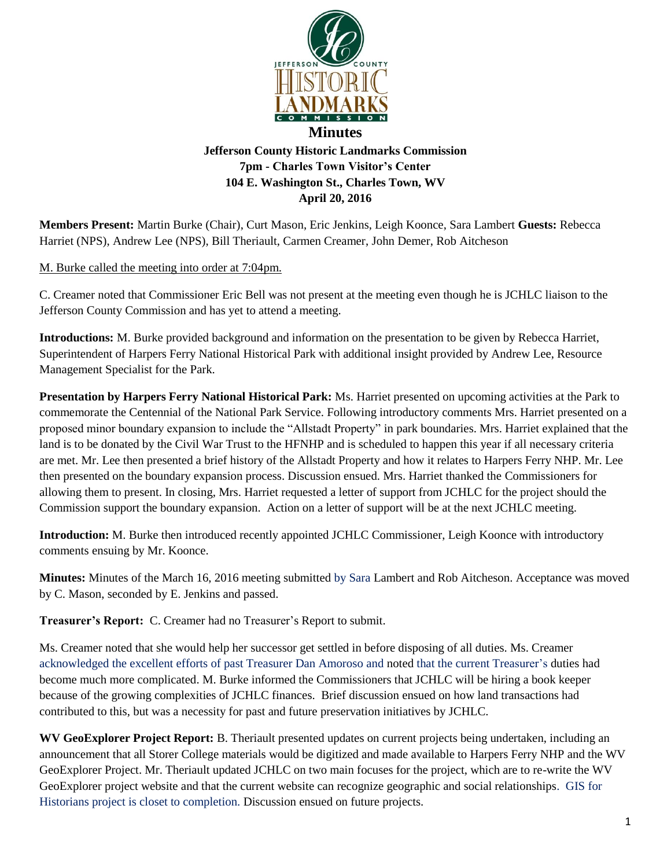

**Members Present:** Martin Burke (Chair), Curt Mason, Eric Jenkins, Leigh Koonce, Sara Lambert **Guests:** Rebecca Harriet (NPS), Andrew Lee (NPS), Bill Theriault, Carmen Creamer, John Demer, Rob Aitcheson

**April 20, 2016**

## M. Burke called the meeting into order at 7:04pm.

C. Creamer noted that Commissioner Eric Bell was not present at the meeting even though he is JCHLC liaison to the Jefferson County Commission and has yet to attend a meeting.

**Introductions:** M. Burke provided background and information on the presentation to be given by Rebecca Harriet, Superintendent of Harpers Ferry National Historical Park with additional insight provided by Andrew Lee, Resource Management Specialist for the Park.

**Presentation by Harpers Ferry National Historical Park:** Ms. Harriet presented on upcoming activities at the Park to commemorate the Centennial of the National Park Service. Following introductory comments Mrs. Harriet presented on a proposed minor boundary expansion to include the "Allstadt Property" in park boundaries. Mrs. Harriet explained that the land is to be donated by the Civil War Trust to the HFNHP and is scheduled to happen this year if all necessary criteria are met. Mr. Lee then presented a brief history of the Allstadt Property and how it relates to Harpers Ferry NHP. Mr. Lee then presented on the boundary expansion process. Discussion ensued. Mrs. Harriet thanked the Commissioners for allowing them to present. In closing, Mrs. Harriet requested a letter of support from JCHLC for the project should the Commission support the boundary expansion. Action on a letter of support will be at the next JCHLC meeting.

**Introduction:** M. Burke then introduced recently appointed JCHLC Commissioner, Leigh Koonce with introductory comments ensuing by Mr. Koonce.

**Minutes:** Minutes of the March 16, 2016 meeting submitted by Sara Lambert and Rob Aitcheson. Acceptance was moved by C. Mason, seconded by E. Jenkins and passed.

**Treasurer's Report:** C. Creamer had no Treasurer's Report to submit.

Ms. Creamer noted that she would help her successor get settled in before disposing of all duties. Ms. Creamer acknowledged the excellent efforts of past Treasurer Dan Amoroso and noted that the current Treasurer's duties had become much more complicated. M. Burke informed the Commissioners that JCHLC will be hiring a book keeper because of the growing complexities of JCHLC finances. Brief discussion ensued on how land transactions had contributed to this, but was a necessity for past and future preservation initiatives by JCHLC.

**WV GeoExplorer Project Report:** B. Theriault presented updates on current projects being undertaken, including an announcement that all Storer College materials would be digitized and made available to Harpers Ferry NHP and the WV GeoExplorer Project. Mr. Theriault updated JCHLC on two main focuses for the project, which are to re-write the WV GeoExplorer project website and that the current website can recognize geographic and social relationships. GIS for Historians project is closet to completion. Discussion ensued on future projects.